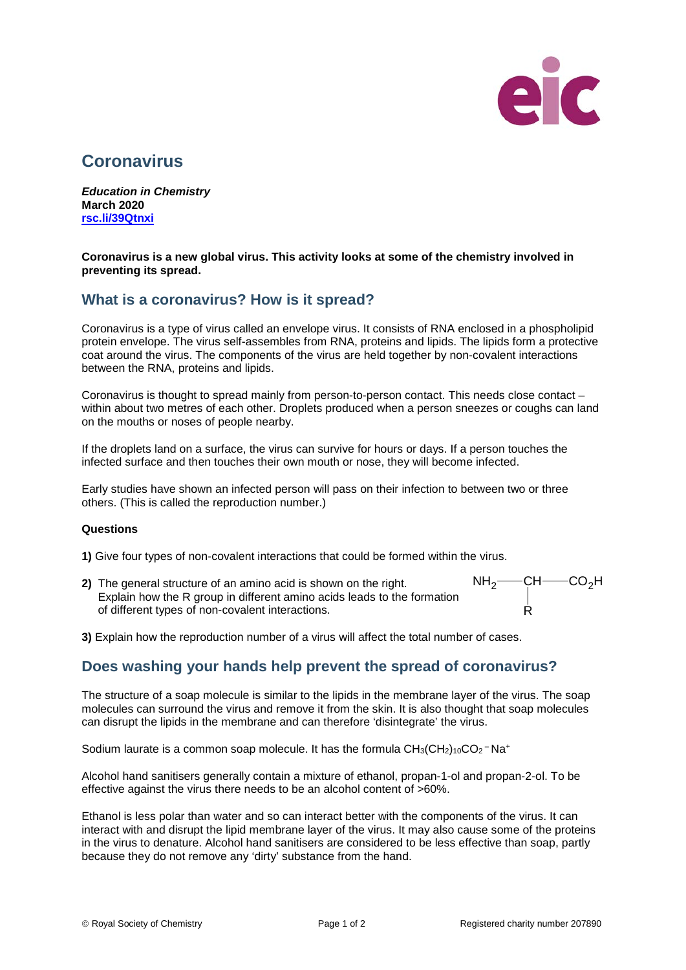

# **Coronavirus**

*Education in Chemistry* **March 2020 [rsc.li/39Qtnxi](https://rsc.li/2TTGEyE)**

**Coronavirus is a new global virus. This activity looks at some of the chemistry involved in preventing its spread.**

## **What is a coronavirus? How is it spread?**

Coronavirus is a type of virus called an envelope virus. It consists of RNA enclosed in a phospholipid protein envelope. The virus self-assembles from RNA, proteins and lipids. The lipids form a protective coat around the virus. The components of the virus are held together by non-covalent interactions between the RNA, proteins and lipids.

Coronavirus is thought to spread mainly from person-to-person contact. This needs close contact – within about two metres of each other. Droplets produced when a person sneezes or coughs can land on the mouths or noses of people nearby.

If the droplets land on a surface, the virus can survive for hours or days. If a person touches the infected surface and then touches their own mouth or nose, they will become infected.

Early studies have shown an infected person will pass on their infection to between two or three others. (This is called the reproduction number.)

#### **Questions**

**1)** Give four types of non-covalent interactions that could be formed within the virus.

**2)** The general structure of an amino acid is shown on the right. Explain how the R group in different amino acids leads to the formation of different types of non-covalent interactions.



**3)** Explain how the reproduction number of a virus will affect the total number of cases.

## **Does washing your hands help prevent the spread of coronavirus?**

The structure of a soap molecule is similar to the lipids in the membrane layer of the virus. The soap molecules can surround the virus and remove it from the skin. It is also thought that soap molecules can disrupt the lipids in the membrane and can therefore 'disintegrate' the virus.

Sodium laurate is a common soap molecule. It has the formula  $CH_3(CH_2)_{10}CO_2$ <sup>-</sup>Na<sup>+</sup>

Alcohol hand sanitisers generally contain a mixture of ethanol, propan-1-ol and propan-2-ol. To be effective against the virus there needs to be an alcohol content of >60%.

Ethanol is less polar than water and so can interact better with the components of the virus. It can interact with and disrupt the lipid membrane layer of the virus. It may also cause some of the proteins in the virus to denature. Alcohol hand sanitisers are considered to be less effective than soap, partly because they do not remove any 'dirty' substance from the hand.